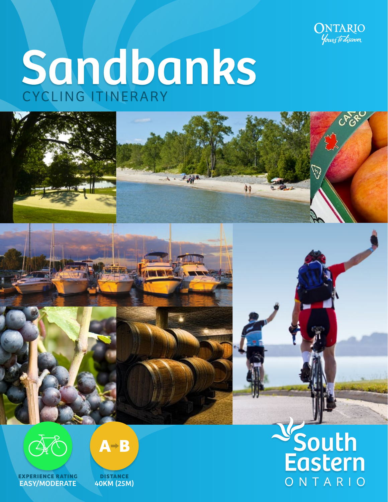

铈

# Sandbanks







**EXPERIENCE RATING** EASY/MODERATE



V<br>South<br>Eastern ONTARIO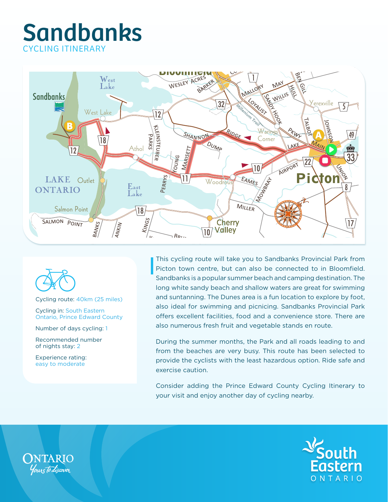## Sandbanks CYCLING ITINERARY





Cycling route: 40km (25 miles)

Cycling in: South Eastern Ontario, Prince Edward County

Number of days cycling: 1

Recommended number of nights stay: 2

Experience rating: easy to moderate

This cycling route will take you to Sandbanks Provincial Park from Picton town centre, but can also be connected to in Bloomfield. Sandbanks is a popular summer beach and camping destination. The long white sandy beach and shallow waters are great for swimming and suntanning. The Dunes area is a fun location to explore by foot, also ideal for swimming and picnicing. Sandbanks Provincial Park offers excellent facilities, food and a convenience store. There are also numerous fresh fruit and vegetable stands en route.

During the summer months, the Park and all roads leading to and from the beaches are very busy. This route has been selected to provide the cyclists with the least hazardous option. Ride safe and exercise caution.

Consider adding the Prince Edward County Cycling Itinerary to your visit and enjoy another day of cycling nearby.



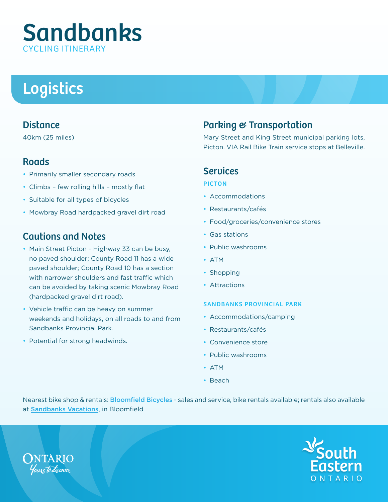## Sandbanks CYCLING **ITINERARY**

# Logistics

#### **Distance**

40km (25 miles)

#### **Roads**

- Primarily smaller secondary roads
- Climbs few rolling hills mostly flat
- Suitable for all types of bicycles
- Mowbray Road hardpacked gravel dirt road

### Cautions and Notes

- Main Street Picton Highway 33 can be busy, no paved shoulder; County Road 11 has a wide paved shoulder; County Road 10 has a section with narrower shoulders and fast traffic which can be avoided by taking scenic Mowbray Road (hardpacked gravel dirt road).
- Vehicle traffic can be heavy on summer weekends and holidays, on all roads to and from Sandbanks Provincial Park.
- Potential for strong headwinds.

## Parking & Transportation

Mary Street and King Street municipal parking lots, Picton. VIA Rail Bike Train service stops at Belleville.

#### **Services**

#### PICTON

- Accommodations
- Restaurants/cafés
- Food/groceries/convenience stores
- Gas stations
- Public washrooms
- ATM
- Shopping
- Attractions

#### SANDBANKS PROVINCIAL PARK

- Accommodations/camping
- Restaurants/cafés
- Convenience store
- Public washrooms
- ATM
- Beach

Nearest bike shop & rentals: **[Bloomfield Bicycles](http://www.bloomfieldbicycle.ca/)** - sales and service, bike rentals available; rentals also available at [Sandbanks Vacations](http://www.mapmyride.com/routes/view/71600838), in Bloomfield



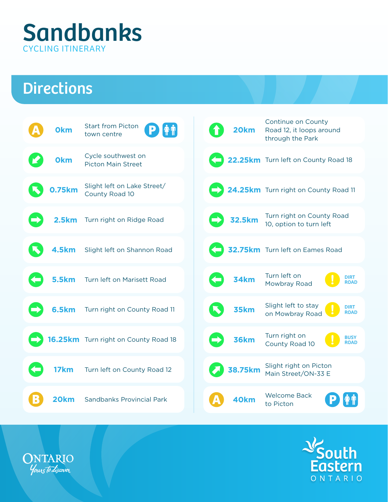

## **Directions**